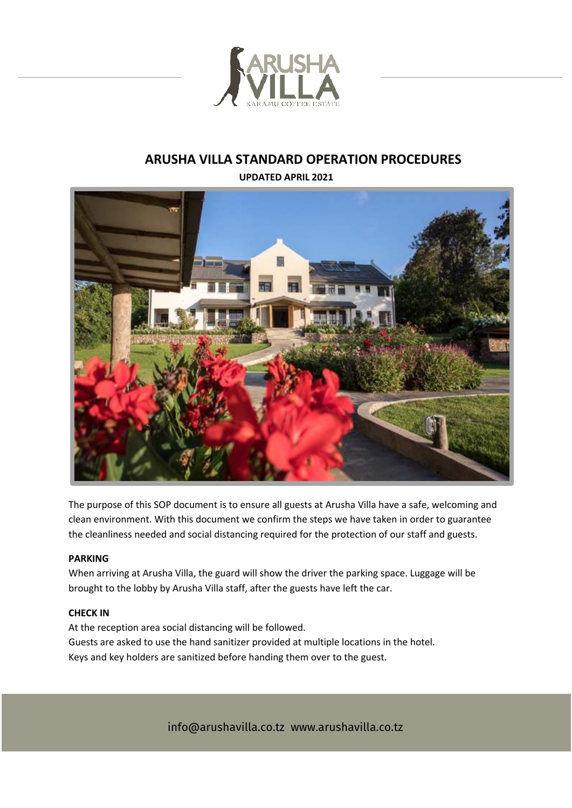

# **ARUSHA VILLA STANDARD OPERATION PROCEDURES**

**UPDATED APRIL 2021**



The purpose of this SOP document is to ensure all guests at Arusha Villa have a safe, welcoming and clean environment. With this document we confirm the steps we have taken in order to guarantee the cleanliness needed and social distancing required for the protection of our staff and guests.

## **PARKING**

When arriving at Arusha Villa, the guard will show the driver the parking space. Luggage will be brought to the lobby by Arusha Villa staff, after the guests have left the car.

#### **CHECK IN**

At the reception area social distancing will be followed. Guests are asked to use the hand sanitizer provided at multiple locations in the hotel. Keys and key holders are sanitized before handing them over to the guest.

info@arushavilla.co.tz www.arushavilla.co.tz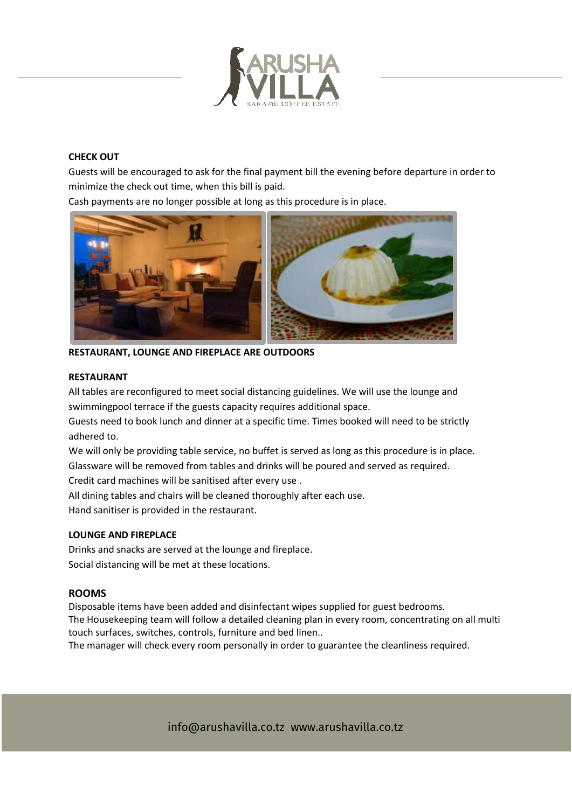

## **CHECK OUT**

Guests will be encouraged to ask for the final payment bill the evening before departure in order to minimize the check out time, when this bill is paid.

Cash payments are no longer possible at long as this procedure is in place.



**RESTAURANT, LOUNGE AND FIREPLACE ARE OUTDOORS** 

#### **RESTAURANT**

All tables are reconfigured to meet social distancing guidelines. We will use the lounge and swimmingpool terrace if the guests capacity requires additional space.

Guests need to book lunch and dinner at a specific time. Times booked will need to be strictly adhered to.

We will only be providing table service, no buffet is served as long as this procedure is in place. Glassware will be removed from tables and drinks will be poured and served as required.

Credit card machines will be sanitised after every use .

All dining tables and chairs will be cleaned thoroughly after each use.

Hand sanitiser is provided in the restaurant.

# **LOUNGE AND FIREPLACE**

Drinks and snacks are served at the lounge and fireplace. Social distancing will be met at these locations.

#### **ROOMS**

Disposable items have been added and disinfectant wipes supplied for guest bedrooms. The Housekeeping team will follow a detailed cleaning plan in every room, concentrating on all multi touch surfaces, switches, controls, furniture and bed linen..

The manager will check every room personally in order to guarantee the cleanliness required.

info@arushavilla.co.tz www.arushavilla.co.tz